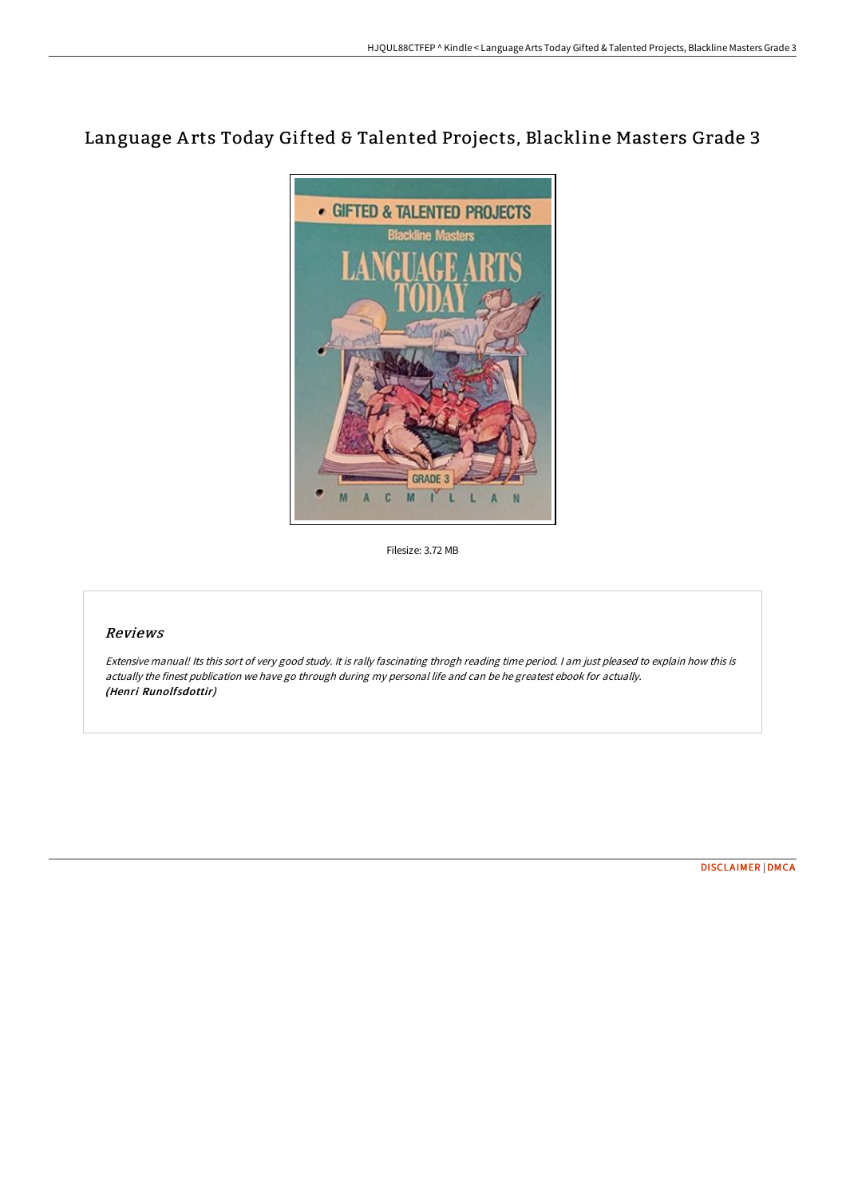# Language A rts Today Gifted & Talented Projects, Blackline Masters Grade 3



Filesize: 3.72 MB

### Reviews

Extensive manual! Its this sort of very good study. It is rally fascinating throgh reading time period. <sup>I</sup> am just pleased to explain how this is actually the finest publication we have go through during my personal life and can be he greatest ebook for actually. (Henri Runolfsdottir)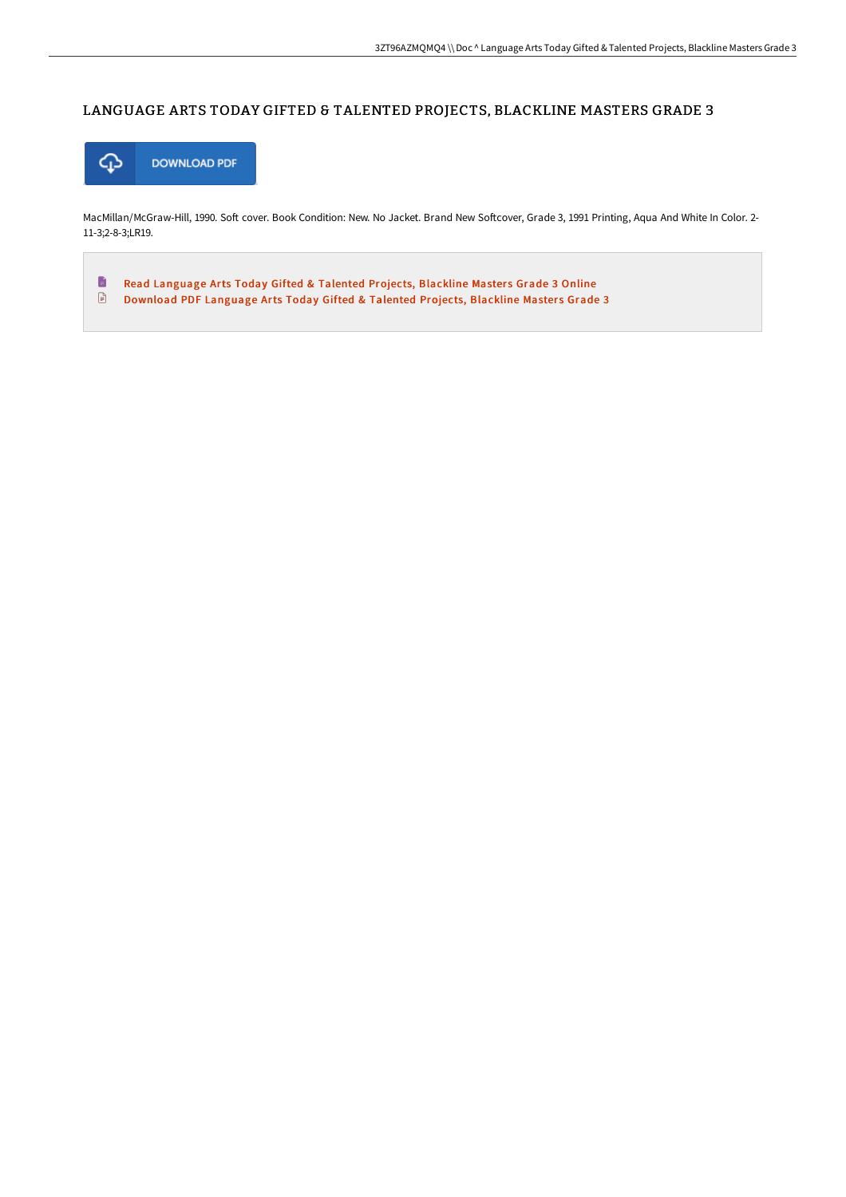#### LANGUAGE ARTS TODAY GIFTED & TALENTED PROJECTS, BLACKLINE MASTERS GRADE 3



MacMillan/McGraw-Hill, 1990. Soft cover. Book Condition: New. No Jacket. Brand New Softcover, Grade 3, 1991 Printing, Aqua And White In Color. 2-11-3;2-8-3;LR19.

 $\blacksquare$ Read [Language](http://techno-pub.tech/language-arts-today-gifted-amp-talented-projects.html) Arts Today Gifted & Talented Projects, Blackline Masters Grade 3 Online  $\ensuremath{\mathop{\boxplus}}$ [Download](http://techno-pub.tech/language-arts-today-gifted-amp-talented-projects.html) PDF Language Arts Today Gifted & Talented Projects, Blackline Masters Grade 3